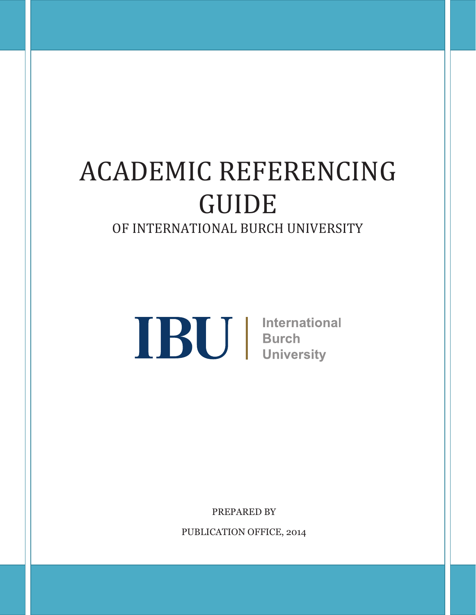# ACADEMIC REFERENCING GUIDE OF INTERNATIONAL BURCH UNIVERSITY

**IBU** International<br>Burch<br>University

PREPARED BY

PUBLICATION OFFICE, 2014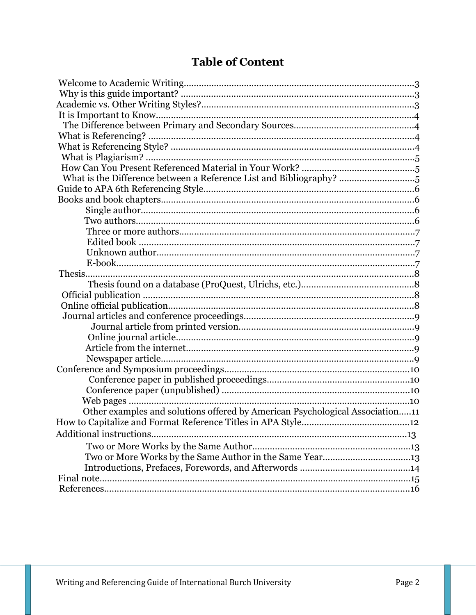# **Table of Content**

| What is the Difference between a Reference List and Bibliography?            |  |
|------------------------------------------------------------------------------|--|
|                                                                              |  |
|                                                                              |  |
|                                                                              |  |
|                                                                              |  |
|                                                                              |  |
|                                                                              |  |
|                                                                              |  |
|                                                                              |  |
|                                                                              |  |
|                                                                              |  |
|                                                                              |  |
|                                                                              |  |
|                                                                              |  |
|                                                                              |  |
|                                                                              |  |
|                                                                              |  |
|                                                                              |  |
|                                                                              |  |
|                                                                              |  |
|                                                                              |  |
|                                                                              |  |
| Other examples and solutions offered by American Psychological Association11 |  |
|                                                                              |  |
| Additional instructions                                                      |  |
|                                                                              |  |
| Two or More Works by the Same Author in the Same Year13                      |  |
|                                                                              |  |
|                                                                              |  |
|                                                                              |  |
|                                                                              |  |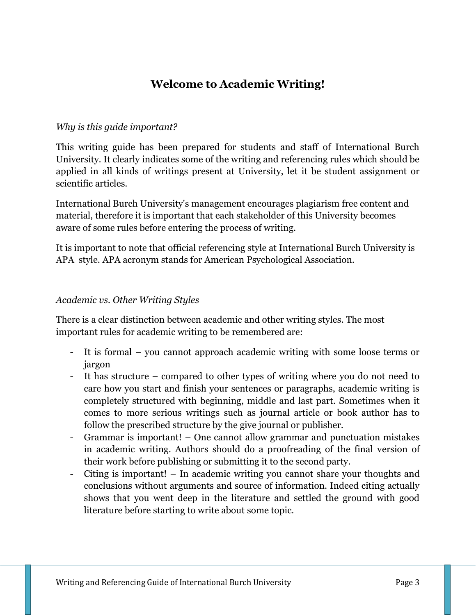## **Welcome to Academic Writing!**

#### *Why is this guide important?*

This writing guide has been prepared for students and staff of International Burch University. It clearly indicates some of the writing and referencing rules which should be applied in all kinds of writings present at University, let it be student assignment or scientific articles.

International Burch University's management encourages plagiarism free content and material, therefore it is important that each stakeholder of this University becomes aware of some rules before entering the process of writing.

It is important to note that official referencing style at International Burch University is APA style. APA acronym stands for American Psychological Association.

#### *Academic vs. Other Writing Styles*

There is a clear distinction between academic and other writing styles. The most important rules for academic writing to be remembered are:

- It is formal you cannot approach academic writing with some loose terms or jargon
- It has structure compared to other types of writing where you do not need to care how you start and finish your sentences or paragraphs, academic writing is completely structured with beginning, middle and last part. Sometimes when it comes to more serious writings such as journal article or book author has to follow the prescribed structure by the give journal or publisher.
- Grammar is important! One cannot allow grammar and punctuation mistakes in academic writing. Authors should do a proofreading of the final version of their work before publishing or submitting it to the second party.
- Citing is important! In academic writing you cannot share your thoughts and conclusions without arguments and source of information. Indeed citing actually shows that you went deep in the literature and settled the ground with good literature before starting to write about some topic.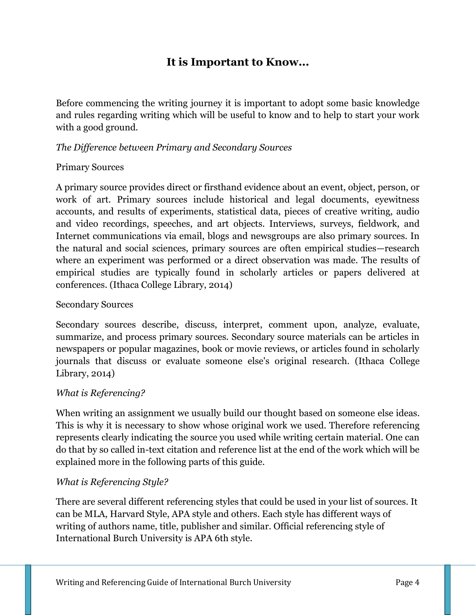## **It is Important to Know...**

Before commencing the writing journey it is important to adopt some basic knowledge and rules regarding writing which will be useful to know and to help to start your work with a good ground.

#### *The Difference between Primary and Secondary Sources*

#### Primary Sources

A primary source provides direct or firsthand evidence about an event, object, person, or work of art. Primary sources include historical and legal documents, eyewitness accounts, and results of experiments, statistical data, pieces of creative writing, audio and video recordings, speeches, and art objects. Interviews, surveys, fieldwork, and Internet communications via email, blogs and newsgroups are also primary sources. In the natural and social sciences, primary sources are often empirical studies—research where an experiment was performed or a direct observation was made. The results of empirical studies are typically found in scholarly articles or papers delivered at conferences. (Ithaca College Library, 2014)

#### Secondary Sources

Secondary sources describe, discuss, interpret, comment upon, analyze, evaluate, summarize, and process primary sources. Secondary source materials can be articles in newspapers or popular magazines, book or movie reviews, or articles found in scholarly journals that discuss or evaluate someone else's original research. (Ithaca College Library, 2014)

#### *What is Referencing?*

When writing an assignment we usually build our thought based on someone else ideas. This is why it is necessary to show whose original work we used. Therefore referencing represents clearly indicating the source you used while writing certain material. One can do that by so called in-text citation and reference list at the end of the work which will be explained more in the following parts of this guide.

#### *What is Referencing Style?*

There are several different referencing styles that could be used in your list of sources. It can be MLA, Harvard Style, APA style and others. Each style has different ways of writing of authors name, title, publisher and similar. Official referencing style of International Burch University is APA 6th style.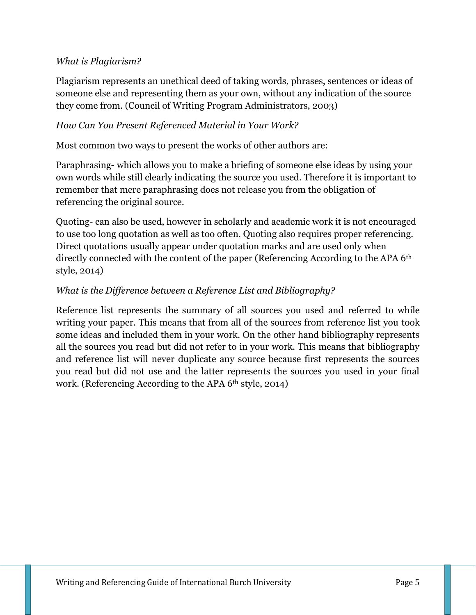#### *What is Plagiarism?*

Plagiarism represents an unethical deed of taking words, phrases, sentences or ideas of someone else and representing them as your own, without any indication of the source they come from. (Council of Writing Program Administrators, 2003)

#### *How Can You Present Referenced Material in Your Work?*

Most common two ways to present the works of other authors are:

Paraphrasing- which allows you to make a briefing of someone else ideas by using your own words while still clearly indicating the source you used. Therefore it is important to remember that mere paraphrasing does not release you from the obligation of referencing the original source.

Quoting- can also be used, however in scholarly and academic work it is not encouraged to use too long quotation as well as too often. Quoting also requires proper referencing. Direct quotations usually appear under quotation marks and are used only when directly connected with the content of the paper (Referencing According to the APA 6<sup>th</sup> style, 2014)

#### *What is the Difference between a Reference List and Bibliography?*

Reference list represents the summary of all sources you used and referred to while writing your paper. This means that from all of the sources from reference list you took some ideas and included them in your work. On the other hand bibliography represents all the sources you read but did not refer to in your work. This means that bibliography and reference list will never duplicate any source because first represents the sources you read but did not use and the latter represents the sources you used in your final work. (Referencing According to the APA 6th style, 2014)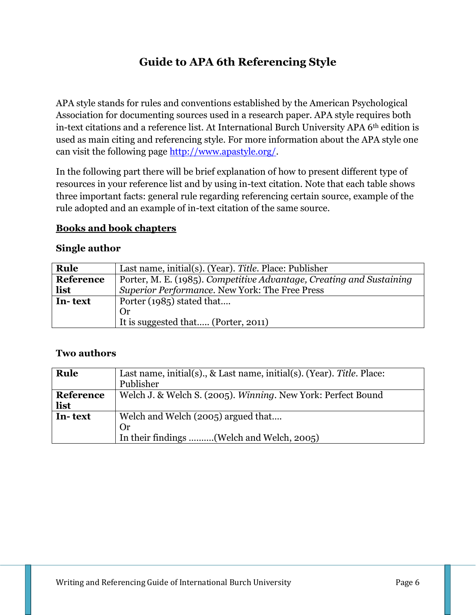# **Guide to APA 6th Referencing Style**

APA style stands for rules and conventions established by the American Psychological Association for documenting sources used in a research paper. APA style requires both in-text citations and a reference list. At International Burch University APA 6th edition is used as main citing and referencing style. For more information about the APA style one can visit the following page [http://www.apastyle.org/.](http://www.apastyle.org/)

In the following part there will be brief explanation of how to present different type of resources in your reference list and by using in-text citation. Note that each table shows three important facts: general rule regarding referencing certain source, example of the rule adopted and an example of in-text citation of the same source.

#### **Books and book chapters**

#### **Single author**

| Rule      | Last name, initial(s). (Year). Title. Place: Publisher               |
|-----------|----------------------------------------------------------------------|
| Reference | Porter, M. E. (1985). Competitive Advantage, Creating and Sustaining |
| list      | Superior Performance. New York: The Free Press                       |
| In-text   | Porter (1985) stated that                                            |
|           | <b>Or</b>                                                            |
|           | It is suggested that (Porter, 2011)                                  |

#### **Two authors**

| Rule              | Last name, initial(s)., & Last name, initial(s). (Year). Title. Place:<br>Publisher   |
|-------------------|---------------------------------------------------------------------------------------|
| Reference<br>list | Welch J. & Welch S. (2005). Winning. New York: Perfect Bound                          |
| In-text           | Welch and Welch (2005) argued that<br>Or<br>In their findings (Welch and Welch, 2005) |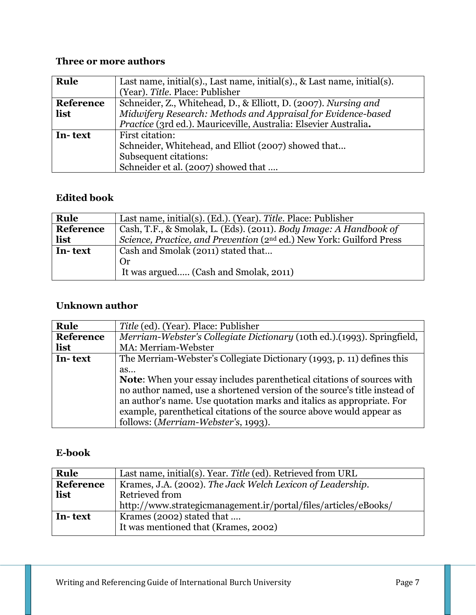## **Three or more authors**

| Rule      | Last name, initial(s)., Last name, initial(s)., & Last name, initial(s).<br>(Year). Title. Place: Publisher |
|-----------|-------------------------------------------------------------------------------------------------------------|
| Reference | Schneider, Z., Whitehead, D., & Elliott, D. (2007). Nursing and                                             |
| list      | Midwifery Research: Methods and Appraisal for Evidence-based                                                |
|           | Practice (3rd ed.). Mauriceville, Australia: Elsevier Australia.                                            |
| In-text   | First citation:                                                                                             |
|           | Schneider, Whitehead, and Elliot (2007) showed that                                                         |
|           | Subsequent citations:                                                                                       |
|           | Schneider et al. (2007) showed that                                                                         |

#### **Edited book**

| Rule      | Last name, initial(s). (Ed.). (Year). Title. Place: Publisher                    |
|-----------|----------------------------------------------------------------------------------|
| Reference | Cash, T.F., & Smolak, L. (Eds). (2011). Body Image: A Handbook of                |
| list      | Science, Practice, and Prevention (2 <sup>nd</sup> ed.) New York: Guilford Press |
| In-text   | Cash and Smolak (2011) stated that                                               |
|           | Or                                                                               |
|           | It was argued (Cash and Smolak, 2011)                                            |

## **Unknown author**

| Rule             | Title (ed). (Year). Place: Publisher                                          |
|------------------|-------------------------------------------------------------------------------|
| <b>Reference</b> | Merriam-Webster's Collegiate Dictionary (10th ed.). (1993). Springfield,      |
| list             | MA: Merriam-Webster                                                           |
| In-text          | The Merriam-Webster's Collegiate Dictionary (1993, p. 11) defines this        |
|                  | as                                                                            |
|                  | <b>Note:</b> When your essay includes parenthetical citations of sources with |
|                  | no author named, use a shortened version of the source's title instead of     |
|                  | an author's name. Use quotation marks and italics as appropriate. For         |
|                  | example, parenthetical citations of the source above would appear as          |
|                  | follows: (Merriam-Webster's, 1993).                                           |

#### **E-book**

| Rule      | Last name, initial(s). Year. Title (ed). Retrieved from URL       |
|-----------|-------------------------------------------------------------------|
| Reference | Krames, J.A. (2002). The Jack Welch Lexicon of Leadership.        |
| list      | Retrieved from                                                    |
|           | http://www.strategicmanagement.ir/portal/files/articles/eBooks/   |
| In-text   | Krames (2002) stated that<br>It was mentioned that (Krames, 2002) |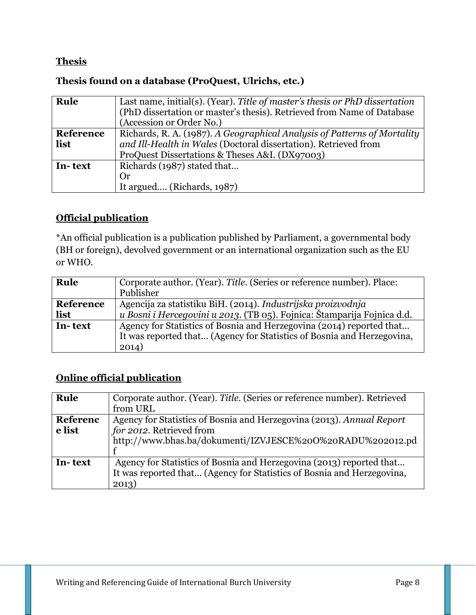## **Thesis**

#### **Thesis found on a database (ProQuest, Ulrichs, etc.)**

| Rule      | Last name, initial(s). (Year). Title of master's thesis or PhD dissertation |
|-----------|-----------------------------------------------------------------------------|
|           | (PhD dissertation or master's thesis). Retrieved from Name of Database      |
|           | (Accession or Order No.)                                                    |
| Reference | Richards, R. A. (1987). A Geographical Analysis of Patterns of Mortality    |
| list      | and Ill-Health in Wales (Doctoral dissertation). Retrieved from             |
|           | ProQuest Dissertations & Theses A&I. (DX97003)                              |
| In-text   | Richards (1987) stated that                                                 |
|           | Or                                                                          |
|           | It argued (Richards, 1987)                                                  |

# **Official publication**

\*An official publication is a publication published by Parliament, a governmental body (BH or foreign), devolved government or an international organization such as the EU or WHO.

| Rule             | Corporate author. (Year). Title. (Series or reference number). Place:   |
|------------------|-------------------------------------------------------------------------|
|                  | Publisher                                                               |
| <b>Reference</b> | Agencija za statistiku BiH. (2014). Industrijska proizvodnja            |
| list             | u Bosni i Hercegovini u 2013. (TB 05). Fojnica: Štamparija Fojnica d.d. |
| In-text          | Agency for Statistics of Bosnia and Herzegovina (2014) reported that    |
|                  | It was reported that (Agency for Statistics of Bosnia and Herzegovina,  |
|                  | 2014)                                                                   |

## **Online official publication**

| Rule            | Corporate author. (Year). Title. (Series or reference number). Retrieved<br>from URL |
|-----------------|--------------------------------------------------------------------------------------|
| <b>Referenc</b> | Agency for Statistics of Bosnia and Herzegovina (2013). Annual Report                |
| e list          | for 2012. Retrieved from                                                             |
|                 | http://www.bhas.ba/dokumenti/IZVJESCE%20O%20RADU%202012.pd                           |
|                 |                                                                                      |
| In-text         | Agency for Statistics of Bosnia and Herzegovina (2013) reported that                 |
|                 | It was reported that (Agency for Statistics of Bosnia and Herzegovina,               |
|                 | 2013)                                                                                |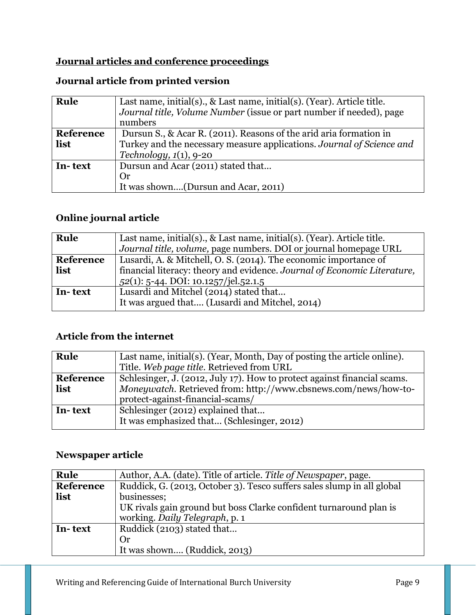## **Journal articles and conference proceedings**

## **Journal article from printed version**

| Rule      | Last name, initial(s)., & Last name, initial(s). (Year). Article title. |
|-----------|-------------------------------------------------------------------------|
|           | Journal title, Volume Number (issue or part number if needed), page     |
|           | numbers                                                                 |
| Reference | Dursun S., & Acar R. (2011). Reasons of the arid aria formation in      |
| list      | Turkey and the necessary measure applications. Journal of Science and   |
|           | Technology, $1(1)$ , 9-20                                               |
| In-text   | Dursun and Acar (2011) stated that                                      |
|           | Or                                                                      |
|           | It was shown(Dursun and Acar, 2011)                                     |

## **Online journal article**

| Rule      | Last name, initial(s)., & Last name, initial(s). (Year). Article title.  |
|-----------|--------------------------------------------------------------------------|
|           | Journal title, volume, page numbers. DOI or journal homepage URL         |
| Reference | Lusardi, A. & Mitchell, O. S. (2014). The economic importance of         |
| list      | financial literacy: theory and evidence. Journal of Economic Literature, |
|           | 52(1): 5-44. DOI: 10.1257/jel.52.1.5                                     |
| In-text   | Lusardi and Mitchel (2014) stated that                                   |
|           | It was argued that (Lusardi and Mitchel, 2014)                           |

## **Article from the internet**

| Rule      | Last name, initial(s). (Year, Month, Day of posting the article online). |  |  |  |  |
|-----------|--------------------------------------------------------------------------|--|--|--|--|
|           | Title. Web page title. Retrieved from URL                                |  |  |  |  |
| Reference | Schlesinger, J. (2012, July 17). How to protect against financial scams. |  |  |  |  |
| list      | Moneywatch. Retrieved from: http://www.cbsnews.com/news/how-to-          |  |  |  |  |
|           | protect-against-financial-scams/                                         |  |  |  |  |
| In-text   | Schlesinger (2012) explained that                                        |  |  |  |  |
|           | It was emphasized that (Schlesinger, 2012)                               |  |  |  |  |

## **Newspaper article**

| Rule      | Author, A.A. (date). Title of article. Title of Newspaper, page.       |  |  |  |  |
|-----------|------------------------------------------------------------------------|--|--|--|--|
| Reference | Ruddick, G. (2013, October 3). Tesco suffers sales slump in all global |  |  |  |  |
| list      | businesses;                                                            |  |  |  |  |
|           | UK rivals gain ground but boss Clarke confident turnaround plan is     |  |  |  |  |
|           | working. Daily Telegraph, p. 1                                         |  |  |  |  |
| In-text   | Ruddick (2103) stated that                                             |  |  |  |  |
|           | Or                                                                     |  |  |  |  |
|           | It was shown (Ruddick, 2013)                                           |  |  |  |  |
|           |                                                                        |  |  |  |  |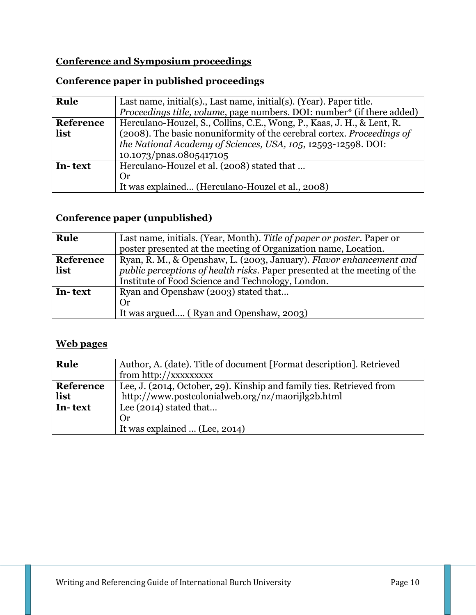## **Conference and Symposium proceedings**

## **Conference paper in published proceedings**

| Rule      | Last name, initial(s)., Last name, initial(s). (Year). Paper title.    |  |  |  |  |  |
|-----------|------------------------------------------------------------------------|--|--|--|--|--|
|           | Proceedings title, volume, page numbers. DOI: number* (if there added) |  |  |  |  |  |
| Reference | Herculano-Houzel, S., Collins, C.E., Wong, P., Kaas, J. H., & Lent, R. |  |  |  |  |  |
| list      | (2008). The basic nonuniformity of the cerebral cortex. Proceedings of |  |  |  |  |  |
|           | the National Academy of Sciences, USA, 105, 12593-12598. DOI:          |  |  |  |  |  |
|           | 10.1073/pnas.0805417105                                                |  |  |  |  |  |
| In-text   | Herculano-Houzel et al. (2008) stated that                             |  |  |  |  |  |
|           | Or                                                                     |  |  |  |  |  |
|           | It was explained (Herculano-Houzel et al., 2008)                       |  |  |  |  |  |

## **Conference paper (unpublished)**

| Rule      | Last name, initials. (Year, Month). Title of paper or poster. Paper or    |  |  |  |  |
|-----------|---------------------------------------------------------------------------|--|--|--|--|
|           | poster presented at the meeting of Organization name, Location.           |  |  |  |  |
| Reference | Ryan, R. M., & Openshaw, L. (2003, January). Flavor enhancement and       |  |  |  |  |
| list      | public perceptions of health risks. Paper presented at the meeting of the |  |  |  |  |
|           | Institute of Food Science and Technology, London.                         |  |  |  |  |
| In-text   | Ryan and Openshaw (2003) stated that                                      |  |  |  |  |
|           | <b>Or</b>                                                                 |  |  |  |  |
|           | It was argued (Ryan and Openshaw, 2003)                                   |  |  |  |  |

## **Web pages**

| Rule      | Author, A. (date). Title of document [Format description]. Retrieved |  |  |  |  |
|-----------|----------------------------------------------------------------------|--|--|--|--|
|           | from http://xxxxxxxx                                                 |  |  |  |  |
| Reference | Lee, J. (2014, October, 29). Kinship and family ties. Retrieved from |  |  |  |  |
| list      | http://www.postcolonialweb.org/nz/maorijlg2b.html                    |  |  |  |  |
| In-text   | Lee $(2014)$ stated that                                             |  |  |  |  |
|           | Or                                                                   |  |  |  |  |
|           | It was explained  (Lee, 2014)                                        |  |  |  |  |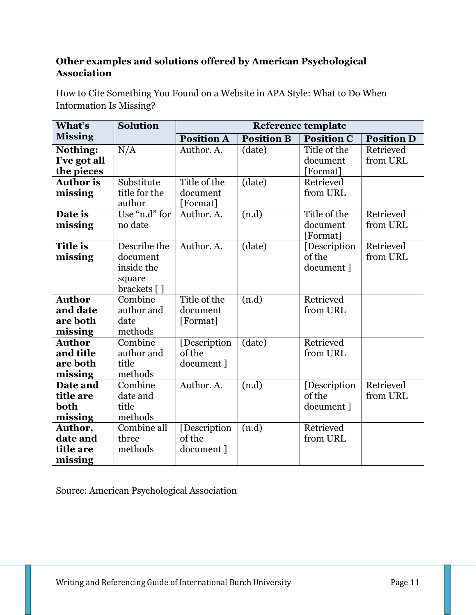## **Other examples and solutions offered by American Psychological Association**

How to Cite Something You Found on a Website in APA Style: What to Do When Information Is Missing?

| What's           | <b>Solution</b> | <b>Reference template</b> |                   |                   |                   |  |  |  |
|------------------|-----------------|---------------------------|-------------------|-------------------|-------------------|--|--|--|
| <b>Missing</b>   |                 | <b>Position A</b>         | <b>Position B</b> | <b>Position C</b> | <b>Position D</b> |  |  |  |
| Nothing:         | N/A             | Author. A.                | (date)            | Title of the      | Retrieved         |  |  |  |
| I've got all     |                 |                           |                   | document          | from URL          |  |  |  |
| the pieces       |                 |                           |                   | [Format]          |                   |  |  |  |
| <b>Author</b> is | Substitute      | Title of the              | (date)            | Retrieved         |                   |  |  |  |
| missing          | title for the   | document                  |                   | from URL          |                   |  |  |  |
|                  | author          | [Format]                  |                   |                   |                   |  |  |  |
| Date is          | Use "n.d" for   | Author. A.                | (n.d)             | Title of the      | Retrieved         |  |  |  |
| missing          | no date         |                           |                   | document          | from URL          |  |  |  |
|                  |                 |                           |                   | [Format]          |                   |  |  |  |
| <b>Title is</b>  | Describe the    | Author. A.                | $(\text{date})$   | [Description      | Retrieved         |  |  |  |
| missing          | document        |                           |                   | of the            | from URL          |  |  |  |
|                  | inside the      |                           |                   | document ]        |                   |  |  |  |
|                  | square          |                           |                   |                   |                   |  |  |  |
|                  | brackets []     |                           |                   |                   |                   |  |  |  |
| <b>Author</b>    | Combine         | Title of the              | (n.d)             | Retrieved         |                   |  |  |  |
| and date         | author and      | document                  |                   | from URL          |                   |  |  |  |
| are both         | date            | [Format]                  |                   |                   |                   |  |  |  |
| missing          | methods         |                           |                   |                   |                   |  |  |  |
| Author           | Combine         | [Description              | $(\text{date})$   | Retrieved         |                   |  |  |  |
| and title        | author and      | of the                    |                   | from URL          |                   |  |  |  |
| are both         | title           | document ]                |                   |                   |                   |  |  |  |
| missing          | methods         |                           |                   |                   |                   |  |  |  |
| Date and         | Combine         | Author. A.                | (n.d)             | [Description      | Retrieved         |  |  |  |
| title are        | date and        |                           |                   | of the            | from URL          |  |  |  |
| both             | title           |                           |                   | document ]        |                   |  |  |  |
| missing          | methods         |                           |                   |                   |                   |  |  |  |
| Author,          | Combine all     | [Description              | (n.d)             | Retrieved         |                   |  |  |  |
| date and         | three           | of the                    |                   | from URL          |                   |  |  |  |
| title are        | methods         | document ]                |                   |                   |                   |  |  |  |
| missing          |                 |                           |                   |                   |                   |  |  |  |

Source: American Psychological Association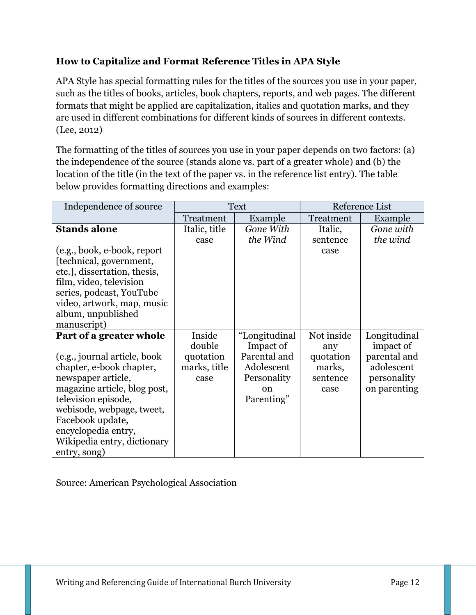## **How to Capitalize and Format Reference Titles in APA Style**

APA Style has special formatting rules for the titles of the sources you use in your paper, such as the titles of books, articles, book chapters, reports, and web pages. The different formats that might be applied are capitalization, italics and quotation marks, and they are used in different combinations for different kinds of sources in different contexts. (Lee, 2012)

The formatting of the titles of sources you use in your paper depends on two factors: (a) the independence of the source (stands alone vs. part of a greater whole) and (b) the location of the title (in the text of the paper vs. in the reference list entry). The table below provides formatting directions and examples:

| Independence of source       | <b>Text</b>   |               | Reference List |              |
|------------------------------|---------------|---------------|----------------|--------------|
|                              | Treatment     | Example       | Treatment      | Example      |
| <b>Stands alone</b>          | Italic, title | Gone With     | Italic,        | Gone with    |
|                              | case          | the Wind      | sentence       | the wind     |
| (e.g., book, e-book, report  |               |               | case           |              |
| [technical, government,      |               |               |                |              |
| etc.], dissertation, thesis, |               |               |                |              |
| film, video, television      |               |               |                |              |
| series, podcast, YouTube     |               |               |                |              |
| video, artwork, map, music   |               |               |                |              |
| album, unpublished           |               |               |                |              |
| manuscript)                  |               |               |                |              |
| Part of a greater whole      | Inside        | "Longitudinal | Not inside     | Longitudinal |
|                              | double        | Impact of     | any            | impact of    |
| (e.g., journal article, book | quotation     | Parental and  | quotation      | parental and |
| chapter, e-book chapter,     | marks, title  | Adolescent    | marks,         | adolescent   |
| newspaper article,           | case          | Personality   | sentence       | personality  |
| magazine article, blog post, |               | $\alpha$      | case           | on parenting |
| television episode,          |               | Parenting"    |                |              |
| webisode, webpage, tweet,    |               |               |                |              |
| Facebook update,             |               |               |                |              |
| encyclopedia entry,          |               |               |                |              |
| Wikipedia entry, dictionary  |               |               |                |              |
| entry, song)                 |               |               |                |              |

Source: American Psychological Association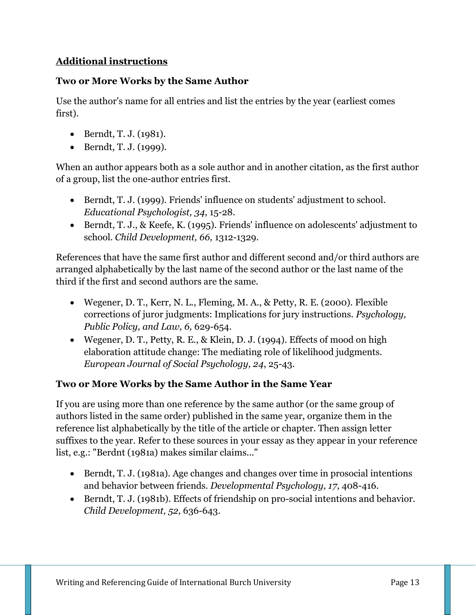## **Additional instructions**

#### **Two or More Works by the Same Author**

Use the author's name for all entries and list the entries by the year (earliest comes first).

- $\bullet$  Berndt, T. J. (1981).
- $\bullet$  Berndt, T. J. (1999).

When an author appears both as a sole author and in another citation, as the first author of a group, list the one-author entries first.

- Berndt, T. J. (1999). Friends' influence on students' adjustment to school. *Educational Psychologist, 34*, 15-28.
- Berndt, T. J., & Keefe, K. (1995). Friends' influence on adolescents' adjustment to school. *Child Development, 66,* 1312-1329.

References that have the same first author and different second and/or third authors are arranged alphabetically by the last name of the second author or the last name of the third if the first and second authors are the same.

- Wegener, D. T., Kerr, N. L., Fleming, M. A., & Petty, R. E. (2000). Flexible corrections of juror judgments: Implications for jury instructions. *Psychology, Public Policy, and Law, 6,* 629-654.
- Wegener, D. T., Petty, R. E., & Klein, D. J. (1994). Effects of mood on high elaboration attitude change: The mediating role of likelihood judgments. *European Journal of Social Psychology, 24*, 25-43.

## **Two or More Works by the Same Author in the Same Year**

If you are using more than one reference by the same author (or the same group of authors listed in the same order) published in the same year, organize them in the reference list alphabetically by the title of the article or chapter. Then assign letter suffixes to the year. Refer to these sources in your essay as they appear in your reference list, e.g.: "Berdnt (1981a) makes similar claims..."

- Berndt, T. J. (1981a). Age changes and changes over time in prosocial intentions and behavior between friends. *Developmental Psychology, 17*, 408-416.
- Berndt, T. J. (1981b). Effects of friendship on pro-social intentions and behavior. *Child Development, 52,* 636-643.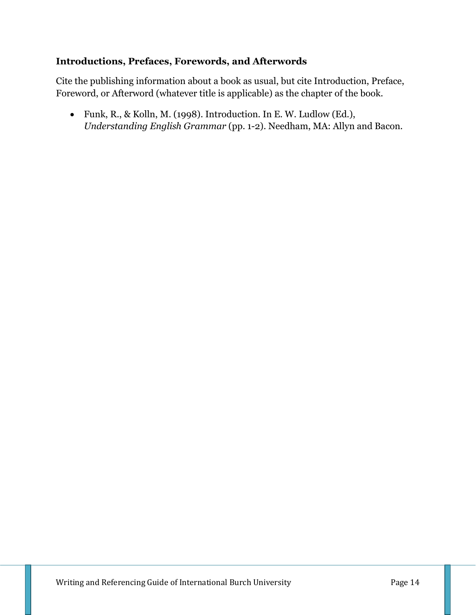#### **Introductions, Prefaces, Forewords, and Afterwords**

Cite the publishing information about a book as usual, but cite Introduction, Preface, Foreword, or Afterword (whatever title is applicable) as the chapter of the book.

 Funk, R., & Kolln, M. (1998). Introduction. In E. W. Ludlow (Ed.), *Understanding English Grammar* (pp. 1-2). Needham, MA: Allyn and Bacon.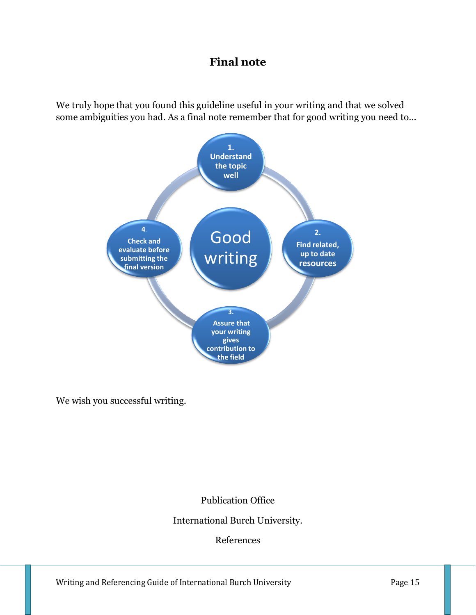## **Final note**

We truly hope that you found this guideline useful in your writing and that we solved some ambiguities you had. As a final note remember that for good writing you need to…



We wish you successful writing.

Publication Office

International Burch University.

References